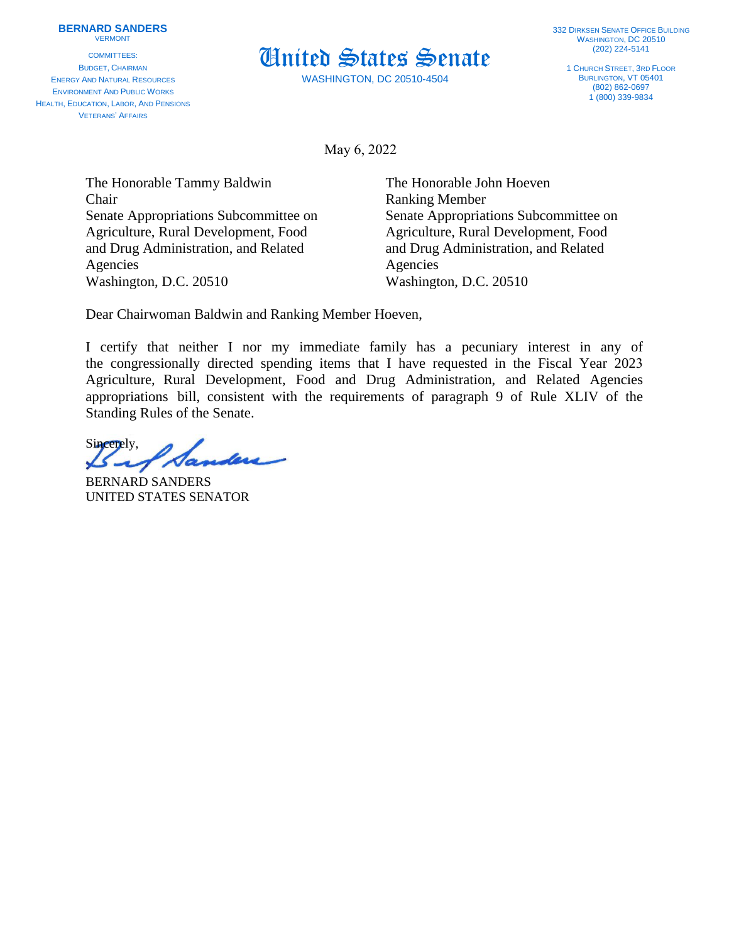COMMITTEES: BUDGET, CHAIRMAN ENERGY AND NATURAL RESOURCES ENVIRONMENT AND PUBLIC WORKS HEALTH, EDUCATION, LABOR, AND PENSIONS VETERANS' AFFAIRS



WASHINGTON, DC 20510-4504

1 CHURCH STREET, 3RD FLOOR BURLINGTON, VT 05401 (802) 862-0697  $1(800)$  339-9834

May 6, 2022

The Honorable Tammy Baldwin The Honorable John Hoeven Chair Ranking Member Agriculture, Rural Development, Food Agriculture, Rural Development, Food and Drug Administration, and Related and Drug Administration, and Related Agencies Agencies Washington, D.C. 20510 Washington, D.C. 20510

Senate Appropriations Subcommittee on Senate Appropriations Subcommittee on

Dear Chairwoman Baldwin and Ranking Member Hoeven,

I certify that neither I nor my immediate family has a pecuniary interest in any of the congressionally directed spending items that I have requested in the Fiscal Year 2023 Agriculture, Rural Development, Food and Drug Administration, and Related Agencies appropriations bill, consistent with the requirements of paragraph 9 of Rule XLIV of the Standing Rules of the Senate.

Sincerely,

BERNARD SANDERS UNITED STATES SENATOR